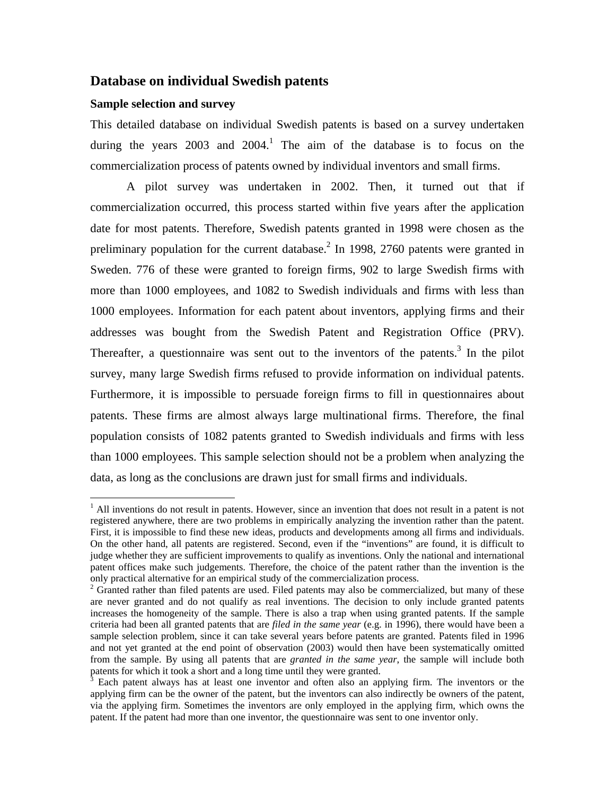## **Database on individual Swedish patents**

#### **Sample selection and survey**

 $\overline{a}$ 

This detailed database on individual Swedish patents is based on a survey undertaken during the years 2003 and 2004.<sup>1</sup> The aim of the database is to focus on the commercialization process of patents owned by individual inventors and small firms.

A pilot survey was undertaken in 2002. Then, it turned out that if commercialization occurred, this process started within five years after the application date for most patents. Therefore, Swedish patents granted in 1998 were chosen as the preliminary population for the current database.<sup>2</sup> In 1998, 2760 patents were granted in Sweden. 776 of these were granted to foreign firms, 902 to large Swedish firms with more than 1000 employees, and 1082 to Swedish individuals and firms with less than 1000 employees. Information for each patent about inventors, applying firms and their addresses was bought from the Swedish Patent and Registration Office (PRV). Thereafter, a questionnaire was sent out to the inventors of the patents.<sup>3</sup> In the pilot survey, many large Swedish firms refused to provide information on individual patents. Furthermore, it is impossible to persuade foreign firms to fill in questionnaires about patents. These firms are almost always large multinational firms. Therefore, the final population consists of 1082 patents granted to Swedish individuals and firms with less than 1000 employees. This sample selection should not be a problem when analyzing the data, as long as the conclusions are drawn just for small firms and individuals.

<sup>&</sup>lt;sup>1</sup> All inventions do not result in patents. However, since an invention that does not result in a patent is not registered anywhere, there are two problems in empirically analyzing the invention rather than the patent. First, it is impossible to find these new ideas, products and developments among all firms and individuals. On the other hand, all patents are registered. Second, even if the "inventions" are found, it is difficult to judge whether they are sufficient improvements to qualify as inventions. Only the national and international patent offices make such judgements. Therefore, the choice of the patent rather than the invention is the only practical alternative for an empirical study of the commercialization process. 2

 $<sup>2</sup>$  Granted rather than filed patents are used. Filed patents may also be commercialized, but many of these</sup> are never granted and do not qualify as real inventions. The decision to only include granted patents increases the homogeneity of the sample. There is also a trap when using granted patents. If the sample criteria had been all granted patents that are *filed in the same year* (e.g. in 1996), there would have been a sample selection problem, since it can take several years before patents are granted. Patents filed in 1996 and not yet granted at the end point of observation (2003) would then have been systematically omitted from the sample. By using all patents that are *granted in the same year*, the sample will include both patents for which it took a short and a long time until they were granted. 3

Each patent always has at least one inventor and often also an applying firm. The inventors or the applying firm can be the owner of the patent, but the inventors can also indirectly be owners of the patent, via the applying firm. Sometimes the inventors are only employed in the applying firm, which owns the patent. If the patent had more than one inventor, the questionnaire was sent to one inventor only.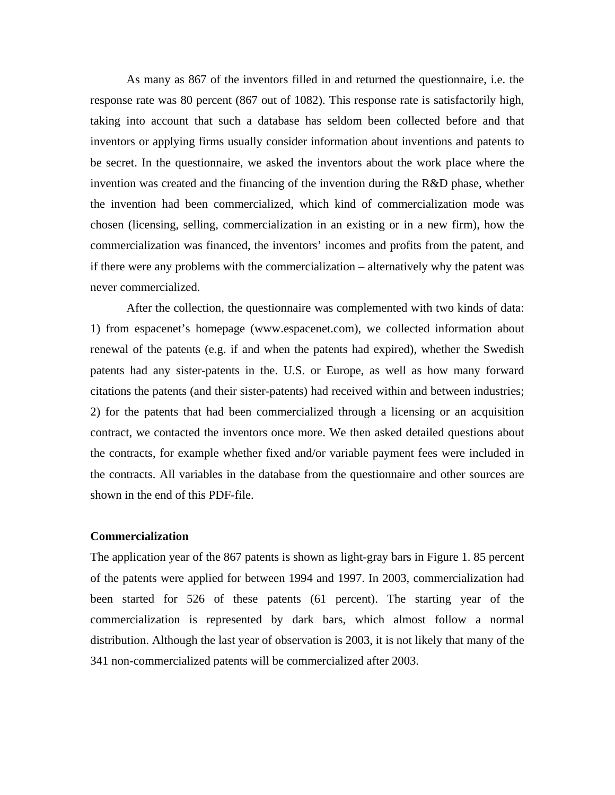As many as 867 of the inventors filled in and returned the questionnaire, i.e. the response rate was 80 percent (867 out of 1082). This response rate is satisfactorily high, taking into account that such a database has seldom been collected before and that inventors or applying firms usually consider information about inventions and patents to be secret. In the questionnaire, we asked the inventors about the work place where the invention was created and the financing of the invention during the R&D phase, whether the invention had been commercialized, which kind of commercialization mode was chosen (licensing, selling, commercialization in an existing or in a new firm), how the commercialization was financed, the inventors' incomes and profits from the patent, and if there were any problems with the commercialization – alternatively why the patent was never commercialized.

After the collection, the questionnaire was complemented with two kinds of data: 1) from espacenet's homepage (www.espacenet.com), we collected information about renewal of the patents (e.g. if and when the patents had expired), whether the Swedish patents had any sister-patents in the. U.S. or Europe, as well as how many forward citations the patents (and their sister-patents) had received within and between industries; 2) for the patents that had been commercialized through a licensing or an acquisition contract, we contacted the inventors once more. We then asked detailed questions about the contracts, for example whether fixed and/or variable payment fees were included in the contracts. All variables in the database from the questionnaire and other sources are shown in the end of this PDF-file.

## **Commercialization**

The application year of the 867 patents is shown as light-gray bars in Figure 1. 85 percent of the patents were applied for between 1994 and 1997. In 2003, commercialization had been started for 526 of these patents (61 percent). The starting year of the commercialization is represented by dark bars, which almost follow a normal distribution. Although the last year of observation is 2003, it is not likely that many of the 341 non-commercialized patents will be commercialized after 2003.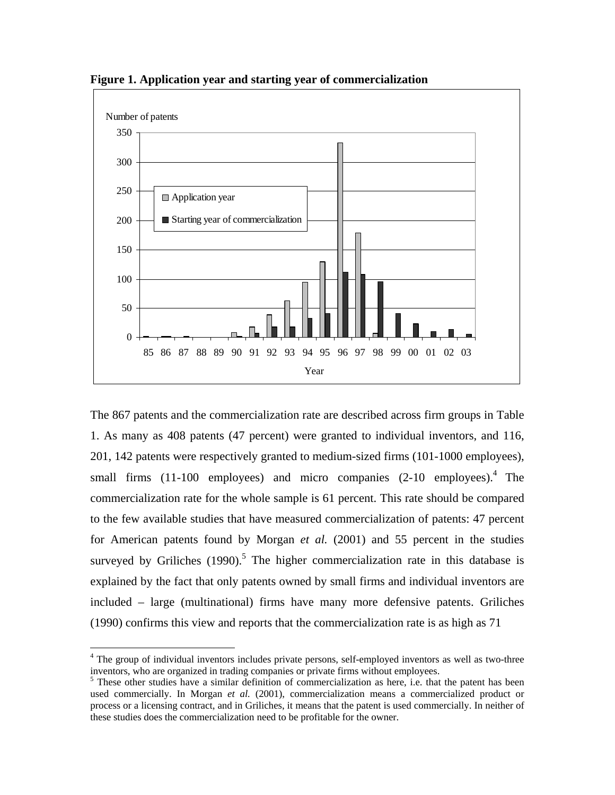

**Figure 1. Application year and starting year of commercialization**

The 867 patents and the commercialization rate are described across firm groups in Table 1. As many as 408 patents (47 percent) were granted to individual inventors, and 116, 201, 142 patents were respectively granted to medium-sized firms (101-1000 employees), small firms (11-100 employees) and micro companies (2-10 employees).<sup>4</sup> The commercialization rate for the whole sample is 61 percent. This rate should be compared to the few available studies that have measured commercialization of patents: 47 percent for American patents found by Morgan *et al.* (2001) and 55 percent in the studies surveyed by Griliches  $(1990)$ .<sup>5</sup> The higher commercialization rate in this database is explained by the fact that only patents owned by small firms and individual inventors are included – large (multinational) firms have many more defensive patents. Griliches (1990) confirms this view and reports that the commercialization rate is as high as 71

 $\overline{a}$ 

<sup>&</sup>lt;sup>4</sup> The group of individual inventors includes private persons, self-employed inventors as well as two-three inventors, who are organized in trading companies or private firms without employees.

<sup>&</sup>lt;sup>5</sup> These other studies have a similar definition of commercialization as here, i.e. that the patent has been used commercially. In Morgan *et al.* (2001), commercialization means a commercialized product or process or a licensing contract, and in Griliches, it means that the patent is used commercially. In neither of these studies does the commercialization need to be profitable for the owner.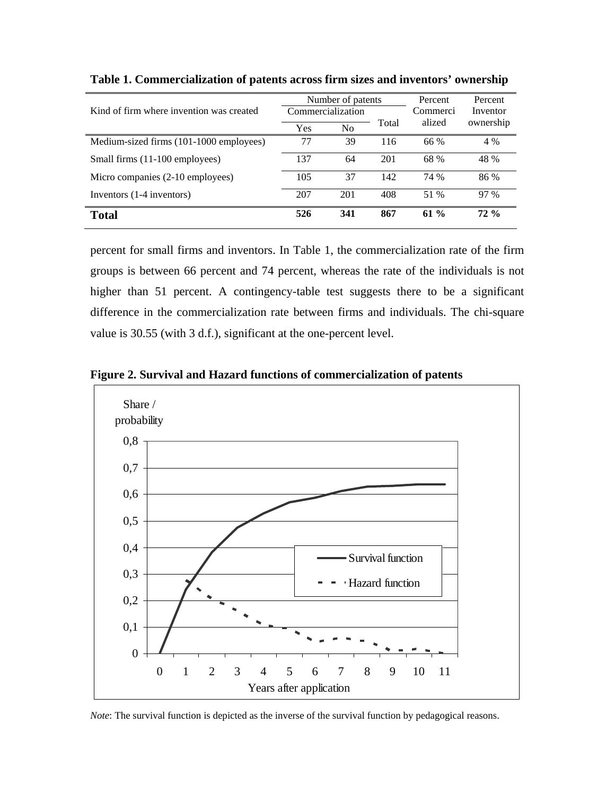|                                          |     | Number of patents |       | Percent  | Percent   |
|------------------------------------------|-----|-------------------|-------|----------|-----------|
| Kind of firm where invention was created |     | Commercialization |       | Commerci | Inventor  |
|                                          | Yes | No                | Total | alized   | ownership |
| Medium-sized firms (101-1000 employees)  | 77  | 39                | 116   | 66 %     | 4 %       |
| Small firms (11-100 employees)           | 137 | 64                | 201   | 68 %     | 48 %      |
| Micro companies (2-10 employees)         | 105 | 37                | 142   | 74 %     | 86 %      |
| Inventors (1-4 inventors)                | 207 | 201               | 408   | 51 %     | 97 %      |
| Total                                    | 526 | 341               | 867   | 61 $%$   | $72\%$    |

**Table 1. Commercialization of patents across firm sizes and inventors' ownership** 

percent for small firms and inventors. In Table 1, the commercialization rate of the firm groups is between 66 percent and 74 percent, whereas the rate of the individuals is not higher than 51 percent. A contingency-table test suggests there to be a significant difference in the commercialization rate between firms and individuals. The chi-square value is 30.55 (with 3 d.f.), significant at the one-percent level.

**Figure 2. Survival and Hazard functions of commercialization of patents** 



*Note*: The survival function is depicted as the inverse of the survival function by pedagogical reasons.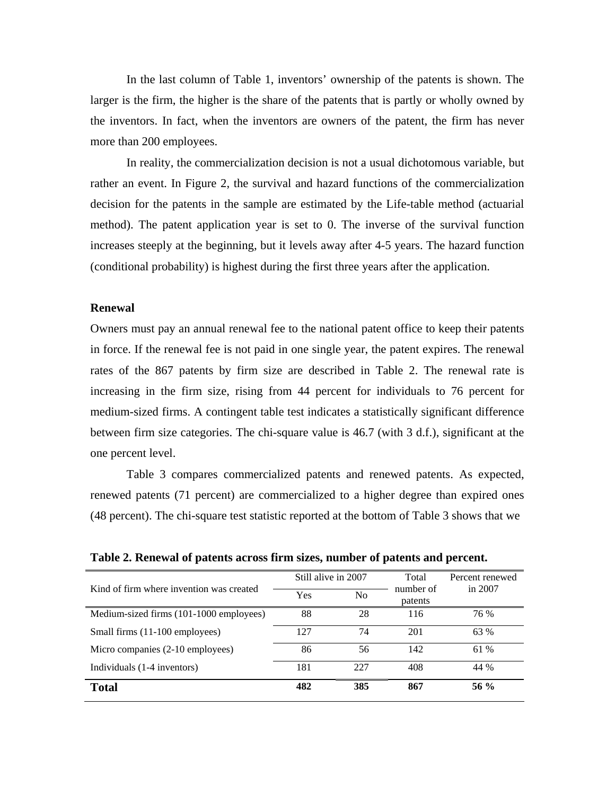In the last column of Table 1, inventors' ownership of the patents is shown. The larger is the firm, the higher is the share of the patents that is partly or wholly owned by the inventors. In fact, when the inventors are owners of the patent, the firm has never more than 200 employees.

In reality, the commercialization decision is not a usual dichotomous variable, but rather an event. In Figure 2, the survival and hazard functions of the commercialization decision for the patents in the sample are estimated by the Life-table method (actuarial method). The patent application year is set to 0. The inverse of the survival function increases steeply at the beginning, but it levels away after 4-5 years. The hazard function (conditional probability) is highest during the first three years after the application.

#### **Renewal**

Owners must pay an annual renewal fee to the national patent office to keep their patents in force. If the renewal fee is not paid in one single year, the patent expires. The renewal rates of the 867 patents by firm size are described in Table 2. The renewal rate is increasing in the firm size, rising from 44 percent for individuals to 76 percent for medium-sized firms. A contingent table test indicates a statistically significant difference between firm size categories. The chi-square value is 46.7 (with 3 d.f.), significant at the one percent level.

Table 3 compares commercialized patents and renewed patents. As expected, renewed patents (71 percent) are commercialized to a higher degree than expired ones (48 percent). The chi-square test statistic reported at the bottom of Table 3 shows that we

|                                          | Still alive in 2007 |     | Total                | Percent renewed |
|------------------------------------------|---------------------|-----|----------------------|-----------------|
| Kind of firm where invention was created | Yes                 | No  | number of<br>patents | in 2007         |
| Medium-sized firms (101-1000 employees)  | 88                  | 28  | 116                  | 76 %            |
| Small firms (11-100 employees)           | 127                 | 74  | 201                  | 63 %            |
| Micro companies (2-10 employees)         | 86                  | 56  | 142                  | 61 %            |
| Individuals (1-4 inventors)              | 181                 | 227 | 408                  | 44 %            |
| <b>Total</b>                             | 482                 | 385 | 867                  | 56 $%$          |

**Table 2. Renewal of patents across firm sizes, number of patents and percent.**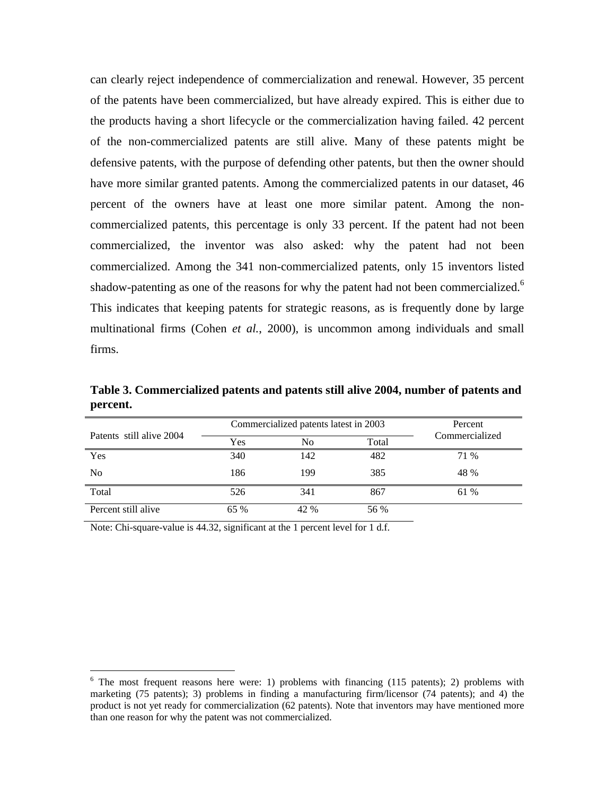can clearly reject independence of commercialization and renewal. However, 35 percent of the patents have been commercialized, but have already expired. This is either due to the products having a short lifecycle or the commercialization having failed. 42 percent of the non-commercialized patents are still alive. Many of these patents might be defensive patents, with the purpose of defending other patents, but then the owner should have more similar granted patents. Among the commercialized patents in our dataset, 46 percent of the owners have at least one more similar patent. Among the noncommercialized patents, this percentage is only 33 percent. If the patent had not been commercialized, the inventor was also asked: why the patent had not been commercialized. Among the 341 non-commercialized patents, only 15 inventors listed shadow-patenting as one of the reasons for why the patent had not been commercialized.<sup>6</sup> This indicates that keeping patents for strategic reasons, as is frequently done by large multinational firms (Cohen *et al.*, 2000), is uncommon among individuals and small firms.

**Table 3. Commercialized patents and patents still alive 2004, number of patents and percent.** 

|                          |      | Commercialized patents latest in 2003 | Percent |                |
|--------------------------|------|---------------------------------------|---------|----------------|
| Patents still alive 2004 | Yes  | No                                    | Total   | Commercialized |
| Yes                      | 340  | 142                                   | 482     | 71 %           |
| N <sub>0</sub>           | 186  | 199                                   | 385     | 48 %           |
| Total                    | 526  | 341                                   | 867     | 61 %           |
| Percent still alive      | 65 % | 42 %                                  | 56 %    |                |

Note: Chi-square-value is 44.32, significant at the 1 percent level for 1 d.f.

 $\overline{a}$ 

 $6$  The most frequent reasons here were: 1) problems with financing (115 patents); 2) problems with marketing (75 patents); 3) problems in finding a manufacturing firm/licensor (74 patents); and 4) the product is not yet ready for commercialization (62 patents). Note that inventors may have mentioned more than one reason for why the patent was not commercialized.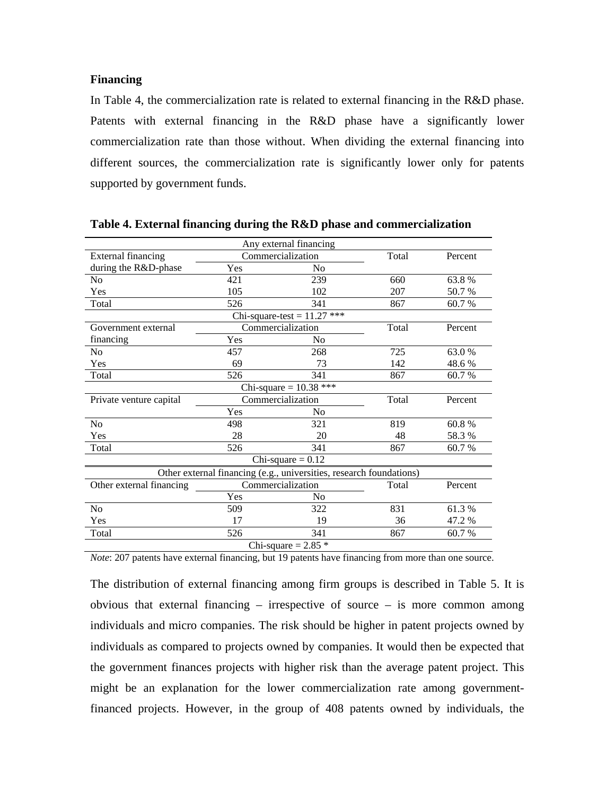## **Financing**

In Table 4, the commercialization rate is related to external financing in the R&D phase. Patents with external financing in the R&D phase have a significantly lower commercialization rate than those without. When dividing the external financing into different sources, the commercialization rate is significantly lower only for patents supported by government funds.

|                           |                   | Any external financing                                              |       |         |  |  |
|---------------------------|-------------------|---------------------------------------------------------------------|-------|---------|--|--|
| <b>External financing</b> | Commercialization |                                                                     | Total | Percent |  |  |
| during the R&D-phase      | Yes               | N <sub>0</sub>                                                      |       |         |  |  |
| N <sub>0</sub>            | 421               | 239                                                                 | 660   | 63.8%   |  |  |
| Yes                       | 105               | 102                                                                 | 207   | 50.7 %  |  |  |
| Total                     | 526               | 341                                                                 | 867   | 60.7 %  |  |  |
|                           |                   | Chi-square-test = $11.27$ ***                                       |       |         |  |  |
| Government external       |                   | Commercialization                                                   | Total | Percent |  |  |
| financing                 | Yes               | No                                                                  |       |         |  |  |
| No                        | 457               | 268                                                                 | 725   | 63.0 %  |  |  |
| Yes                       | 69                | 73                                                                  | 142   | 48.6%   |  |  |
| Total                     | 526               | 341                                                                 | 867   | 60.7%   |  |  |
|                           |                   | Chi-square = $10.38$ ***                                            |       |         |  |  |
| Private venture capital   |                   | Commercialization                                                   | Total | Percent |  |  |
|                           | Yes               | No                                                                  |       |         |  |  |
| N <sub>o</sub>            | 498               | 321                                                                 | 819   | 60.8%   |  |  |
| Yes                       | 28                | 20                                                                  | 48    | 58.3%   |  |  |
| Total                     | 526               | 341                                                                 | 867   | 60.7 %  |  |  |
| Chi-square $= 0.12$       |                   |                                                                     |       |         |  |  |
|                           |                   | Other external financing (e.g., universities, research foundations) |       |         |  |  |
| Other external financing  | Commercialization |                                                                     | Total | Percent |  |  |
|                           | Yes               | N <sub>0</sub>                                                      |       |         |  |  |
| N <sub>o</sub>            | 509               | 322                                                                 | 831   | 61.3%   |  |  |
| Yes                       | 17                | 19                                                                  | 36    | 47.2 %  |  |  |
| Total                     | 526               | 341                                                                 | 867   | 60.7%   |  |  |
|                           |                   | Chi-square = $2.85$ *                                               |       |         |  |  |

**Table 4. External financing during the R&D phase and commercialization** 

*Note*: 207 patents have external financing, but 19 patents have financing from more than one source.

The distribution of external financing among firm groups is described in Table 5. It is obvious that external financing – irrespective of source – is more common among individuals and micro companies. The risk should be higher in patent projects owned by individuals as compared to projects owned by companies. It would then be expected that the government finances projects with higher risk than the average patent project. This might be an explanation for the lower commercialization rate among governmentfinanced projects. However, in the group of 408 patents owned by individuals, the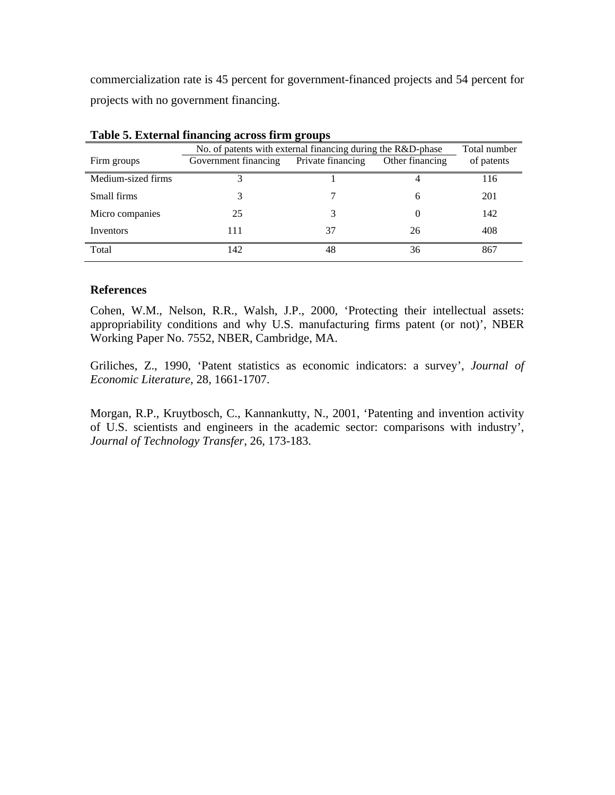commercialization rate is 45 percent for government-financed projects and 54 percent for projects with no government financing.

| Tuble of Eater has imaliency across in the groups |                                                                             |                   |                 |            |  |
|---------------------------------------------------|-----------------------------------------------------------------------------|-------------------|-----------------|------------|--|
|                                                   | No. of patents with external financing during the R&D-phase<br>Total number |                   |                 |            |  |
| Firm groups                                       | Government financing                                                        | Private financing | Other financing | of patents |  |
| Medium-sized firms                                | 3                                                                           |                   |                 | 116        |  |
| Small firms                                       |                                                                             |                   | 6               | 201        |  |
| Micro companies                                   | 25                                                                          |                   |                 | 142        |  |
| Inventors                                         | 111                                                                         | 37                | 26              | 408        |  |
| Total                                             | 142                                                                         | 48                | 36              | 867        |  |

**Table 5. External financing across firm groups** 

## **References**

Cohen, W.M., Nelson, R.R., Walsh, J.P., 2000, 'Protecting their intellectual assets: appropriability conditions and why U.S. manufacturing firms patent (or not)', NBER Working Paper No. 7552, NBER, Cambridge, MA.

Griliches, Z., 1990, 'Patent statistics as economic indicators: a survey', *Journal of Economic Literature*, 28, 1661-1707.

Morgan, R.P., Kruytbosch, C., Kannankutty, N., 2001, 'Patenting and invention activity of U.S. scientists and engineers in the academic sector: comparisons with industry', *Journal of Technology Transfer*, 26, 173-183.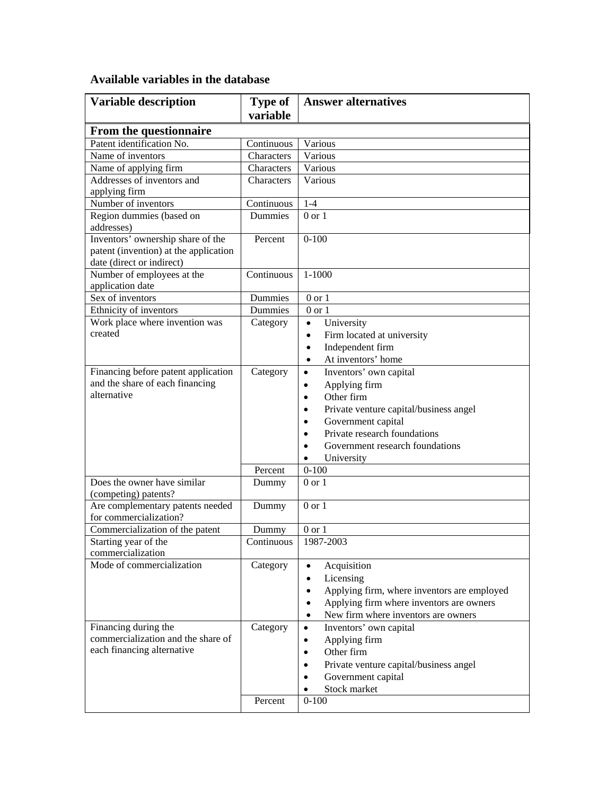# **Available variables in the database**

| <b>Variable description</b>                                                                             | Type of              | <b>Answer alternatives</b>                               |
|---------------------------------------------------------------------------------------------------------|----------------------|----------------------------------------------------------|
|                                                                                                         | variable             |                                                          |
| From the questionnaire                                                                                  |                      |                                                          |
| Patent identification No.                                                                               | Continuous           | Various                                                  |
| Name of inventors                                                                                       | Characters           | Various                                                  |
| Name of applying firm                                                                                   | Characters           | Various                                                  |
| Addresses of inventors and                                                                              | Characters           | Various                                                  |
| applying firm                                                                                           |                      |                                                          |
| Number of inventors                                                                                     | Continuous           | $1 - 4$                                                  |
| Region dummies (based on                                                                                | <b>Dummies</b>       | $0$ or $1$                                               |
| addresses)                                                                                              |                      |                                                          |
| Inventors' ownership share of the<br>patent (invention) at the application<br>date (direct or indirect) | Percent              | $0 - 100$                                                |
| Number of employees at the                                                                              | Continuous           | $1 - 1000$                                               |
| application date                                                                                        |                      |                                                          |
| Sex of inventors                                                                                        | Dummies              | $0$ or $1$                                               |
| Ethnicity of inventors                                                                                  | Dummies              | $0 \text{ or } 1$                                        |
| Work place where invention was                                                                          | Category             | University<br>$\bullet$                                  |
| created                                                                                                 |                      | Firm located at university<br>$\bullet$                  |
|                                                                                                         |                      | Independent firm<br>$\bullet$                            |
|                                                                                                         |                      | At inventors' home<br>$\bullet$                          |
| Financing before patent application                                                                     | Category             | Inventors' own capital<br>$\bullet$                      |
| and the share of each financing                                                                         |                      | Applying firm<br>$\bullet$                               |
| alternative                                                                                             |                      | Other firm<br>$\bullet$                                  |
|                                                                                                         |                      | Private venture capital/business angel<br>$\bullet$      |
|                                                                                                         |                      | Government capital<br>$\bullet$                          |
|                                                                                                         |                      | Private research foundations<br>$\bullet$                |
|                                                                                                         |                      | Government research foundations                          |
|                                                                                                         |                      | University<br>$\bullet$                                  |
|                                                                                                         | Percent              | $0 - 100$                                                |
| Does the owner have similar                                                                             | Dummy                | $0$ or $1$                                               |
| (competing) patents?                                                                                    |                      |                                                          |
| Are complementary patents needed                                                                        | Dummy                | $0$ or $1$                                               |
| for commercialization?                                                                                  |                      |                                                          |
| Commercialization of the patent                                                                         | Dummy                | $0 \text{ or } 1$                                        |
| Starting year of the<br>commercialization                                                               | Continuous 1987-2003 |                                                          |
| Mode of commercialization                                                                               | Category             | Acquisition<br>$\bullet$                                 |
|                                                                                                         |                      | Licensing<br>$\bullet$                                   |
|                                                                                                         |                      | Applying firm, where inventors are employed<br>$\bullet$ |
|                                                                                                         |                      | Applying firm where inventors are owners<br>$\bullet$    |
|                                                                                                         |                      | New firm where inventors are owners<br>$\bullet$         |
| Financing during the                                                                                    | Category             | Inventors' own capital<br>$\bullet$                      |
| commercialization and the share of                                                                      |                      | Applying firm<br>٠                                       |
| each financing alternative                                                                              |                      | Other firm<br>$\bullet$                                  |
|                                                                                                         |                      | Private venture capital/business angel<br>$\bullet$      |
|                                                                                                         |                      | Government capital                                       |
|                                                                                                         |                      | Stock market                                             |
|                                                                                                         | Percent              | $0 - 100$                                                |